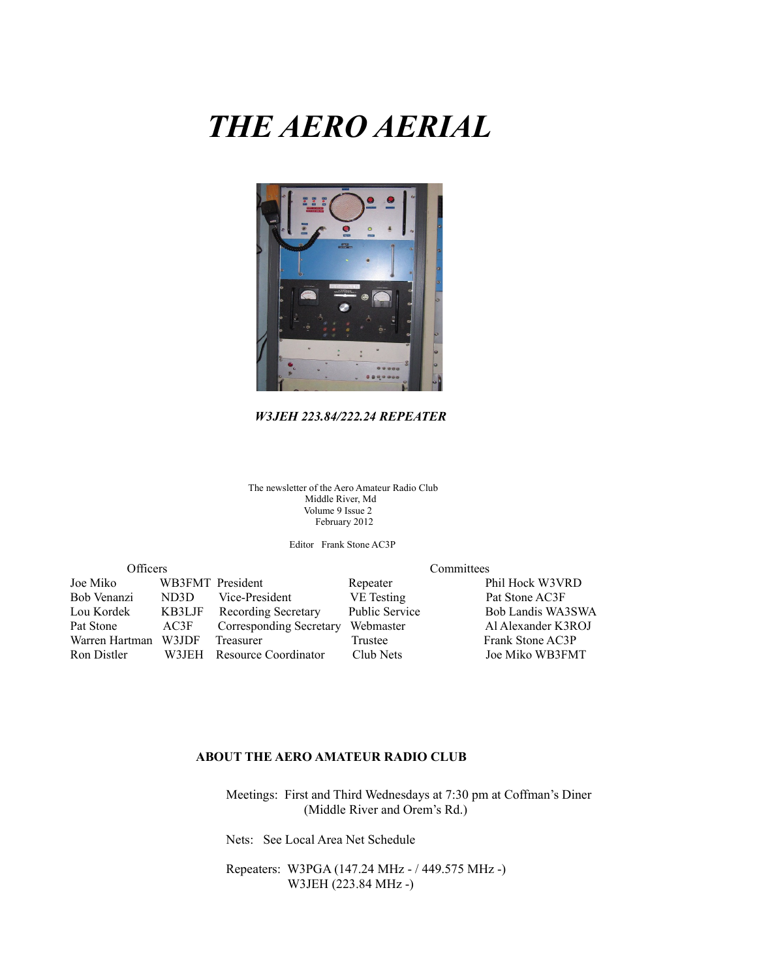# *THE AERO AERIAL*



### *W3JEH 223.84/222.24 REPEATER*

The newsletter of the Aero Amateur Radio Club Middle River, Md Volume 9 Issue 2 February 2012

Editor Frank Stone AC3P

| Officers       |                  | Committees                 |                       |                    |  |
|----------------|------------------|----------------------------|-----------------------|--------------------|--|
| Joe Miko       | WB3FMT President |                            | Repeater              | Phil Hock W3VRD    |  |
| Bob Venanzi    | ND3D             | Vice-President             | VE Testing            | Pat Stone AC3F     |  |
| Lou Kordek     | KB3LJF           | <b>Recording Secretary</b> | <b>Public Service</b> | Bob Landis WA3SWA  |  |
| Pat Stone      | AC3F             | Corresponding Secretary    | Webmaster             | Al Alexander K3ROJ |  |
| Warren Hartman | W3JDF            | Treasurer                  | Trustee               | Frank Stone AC3P   |  |
| Ron Distler    |                  | W3JEH Resource Coordinator | Club Nets             | Joe Miko WB3FMT    |  |

#### **ABOUT THE AERO AMATEUR RADIO CLUB**

 Meetings: First and Third Wednesdays at 7:30 pm at Coffman's Diner (Middle River and Orem's Rd.)

Nets: See Local Area Net Schedule

 Repeaters: W3PGA (147.24 MHz - / 449.575 MHz -) W3JEH (223.84 MHz -)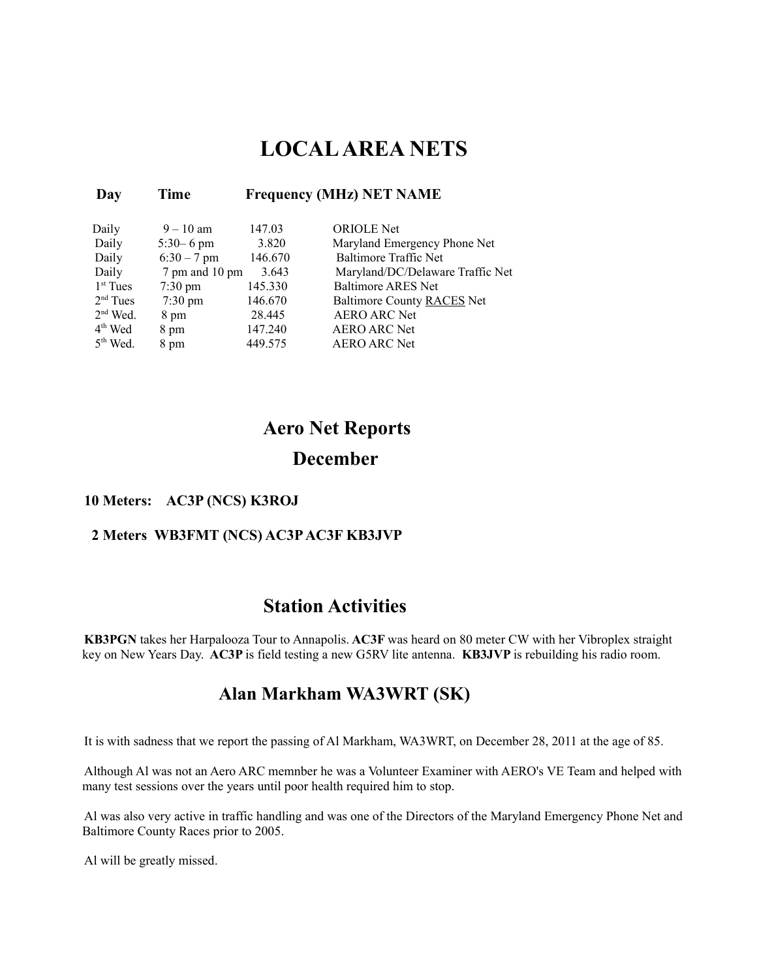# **LOCAL AREA NETS**

### **Day Time Frequency (MHz) NET NAME**

| Daily      | $9 - 10$ am       | 147.03  | <b>ORIOLE</b> Net                |
|------------|-------------------|---------|----------------------------------|
| Daily      | $5:30 - 6$ pm     | 3.820   | Maryland Emergency Phone Net     |
| Daily      | $6:30 - 7$ pm     | 146.670 | <b>Baltimore Traffic Net</b>     |
| Daily      | 7 pm and 10 pm    | 3.643   | Maryland/DC/Delaware Traffic Net |
| $1st$ Tues | $7:30 \text{ pm}$ | 145.330 | <b>Baltimore ARES Net</b>        |
| $2nd$ Tues | $7:30 \text{ pm}$ | 146.670 | Baltimore County RACES Net       |
| $2nd$ Wed. | 8 pm              | 28.445  | <b>AERO ARC Net</b>              |
| $4th$ Wed  | 8 pm              | 147.240 | <b>AERO ARC Net</b>              |
| $5th$ Wed. | 8 pm              | 449.575 | <b>AERO ARC Net</b>              |

# **Aero Net Reports December**

### **10 Meters: AC3P (NCS) K3ROJ**

### **2 Meters WB3FMT (NCS) AC3P AC3F KB3JVP**

## **Station Activities**

**KB3PGN** takes her Harpalooza Tour to Annapolis. **AC3F** was heard on 80 meter CW with her Vibroplex straight key on New Years Day. **AC3P** is field testing a new G5RV lite antenna. **KB3JVP** is rebuilding his radio room.

### **Alan Markham WA3WRT (SK)**

It is with sadness that we report the passing of Al Markham, WA3WRT, on December 28, 2011 at the age of 85.

Although Al was not an Aero ARC memnber he was a Volunteer Examiner with AERO's VE Team and helped with many test sessions over the years until poor health required him to stop.

Al was also very active in traffic handling and was one of the Directors of the Maryland Emergency Phone Net and Baltimore County Races prior to 2005.

Al will be greatly missed.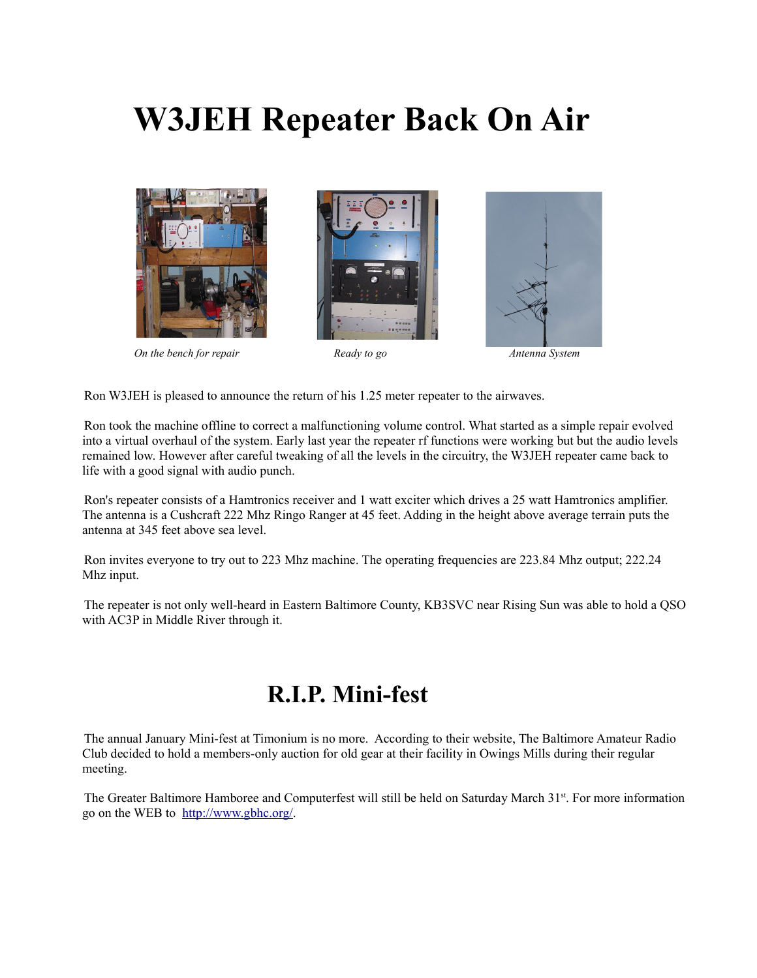# **W3JEH Repeater Back On Air**







*On the bench for repair* **Ready to go** *Antenna System Antenna System* 

Ron W3JEH is pleased to announce the return of his 1.25 meter repeater to the airwaves.

Ron took the machine offline to correct a malfunctioning volume control. What started as a simple repair evolved into a virtual overhaul of the system. Early last year the repeater rf functions were working but but the audio levels remained low. However after careful tweaking of all the levels in the circuitry, the W3JEH repeater came back to life with a good signal with audio punch.

Ron's repeater consists of a Hamtronics receiver and 1 watt exciter which drives a 25 watt Hamtronics amplifier. The antenna is a Cushcraft 222 Mhz Ringo Ranger at 45 feet. Adding in the height above average terrain puts the antenna at 345 feet above sea level.

Ron invites everyone to try out to 223 Mhz machine. The operating frequencies are 223.84 Mhz output; 222.24 Mhz input.

The repeater is not only well-heard in Eastern Baltimore County, KB3SVC near Rising Sun was able to hold a QSO with AC3P in Middle River through it.

# **R.I.P. Mini-fest**

The annual January Mini-fest at Timonium is no more. According to their website, The Baltimore Amateur Radio Club decided to hold a members-only auction for old gear at their facility in Owings Mills during their regular meeting.

The Greater Baltimore Hamboree and Computerfest will still be held on Saturday March 31<sup>st</sup>. For more information go on the WEB to [http://www.gbhc.org/.](http://www.gbhc.org/)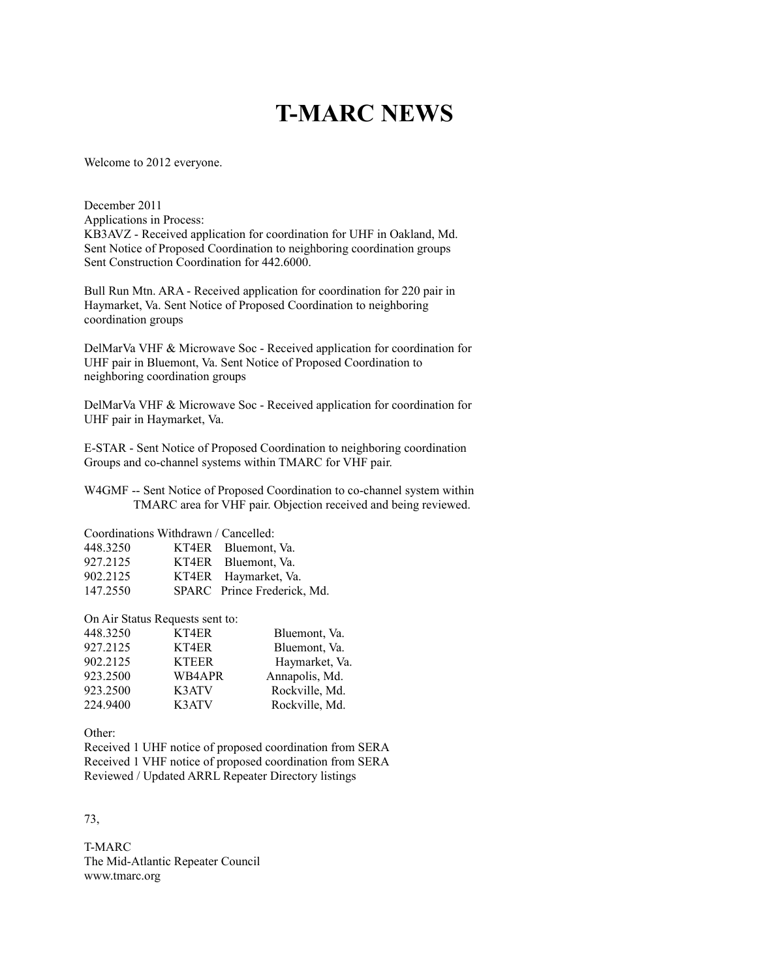# **T-MARC NEWS**

Welcome to 2012 everyone.

December 2011

Applications in Process: KB3AVZ - Received application for coordination for UHF in Oakland, Md. Sent Notice of Proposed Coordination to neighboring coordination groups Sent Construction Coordination for 442.6000.

Bull Run Mtn. ARA - Received application for coordination for 220 pair in Haymarket, Va. Sent Notice of Proposed Coordination to neighboring coordination groups

DelMarVa VHF & Microwave Soc - Received application for coordination for UHF pair in Bluemont, Va. Sent Notice of Proposed Coordination to neighboring coordination groups

DelMarVa VHF & Microwave Soc - Received application for coordination for UHF pair in Haymarket, Va.

E-STAR - Sent Notice of Proposed Coordination to neighboring coordination Groups and co-channel systems within TMARC for VHF pair.

W4GMF -- Sent Notice of Proposed Coordination to co-channel system within TMARC area for VHF pair. Objection received and being reviewed.

Coordinations Withdrawn / Cancelled:

| 448.3250 | KT4ER Bluemont, Va.         |
|----------|-----------------------------|
| 927.2125 | KT4ER Bluemont, Va.         |
| 902.2125 | KT4ER Haymarket, Va.        |
| 147.2550 | SPARC Prince Frederick, Md. |

On Air Status Requests sent to:

| 448.3250 | KT4ER        | Bluemont, Va.  |
|----------|--------------|----------------|
| 927.2125 | KT4ER        | Bluemont, Va.  |
| 902.2125 | <b>KTEER</b> | Haymarket, Va. |
| 923.2500 | WB4APR       | Annapolis, Md. |
| 923.2500 | K3ATV        | Rockville, Md. |
| 224.9400 | K3ATV        | Rockville, Md. |

Other:

Received 1 UHF notice of proposed coordination from SERA Received 1 VHF notice of proposed coordination from SERA Reviewed / Updated ARRL Repeater Directory listings

73,

T-MARC The Mid-Atlantic Repeater Council www.tmarc.org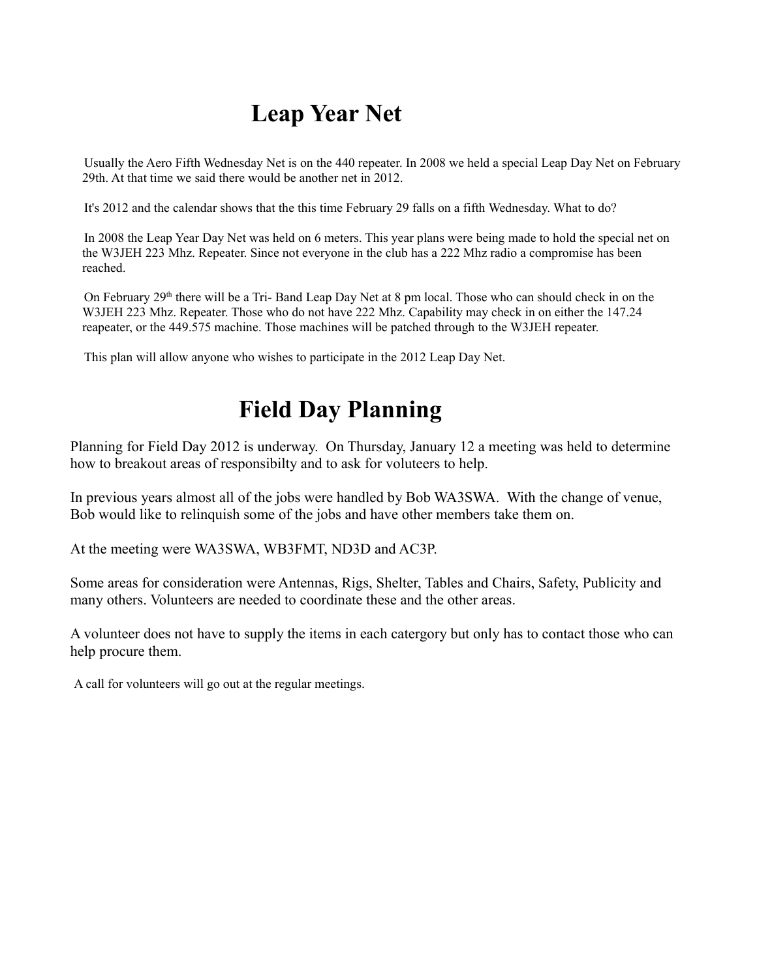# **Leap Year Net**

Usually the Aero Fifth Wednesday Net is on the 440 repeater. In 2008 we held a special Leap Day Net on February 29th. At that time we said there would be another net in 2012.

It's 2012 and the calendar shows that the this time February 29 falls on a fifth Wednesday. What to do?

In 2008 the Leap Year Day Net was held on 6 meters. This year plans were being made to hold the special net on the W3JEH 223 Mhz. Repeater. Since not everyone in the club has a 222 Mhz radio a compromise has been reached.

On February  $29<sup>th</sup>$  there will be a Tri-Band Leap Day Net at 8 pm local. Those who can should check in on the W3JEH 223 Mhz. Repeater. Those who do not have 222 Mhz. Capability may check in on either the 147.24 reapeater, or the 449.575 machine. Those machines will be patched through to the W3JEH repeater.

This plan will allow anyone who wishes to participate in the 2012 Leap Day Net.

# **Field Day Planning**

Planning for Field Day 2012 is underway. On Thursday, January 12 a meeting was held to determine how to breakout areas of responsibilty and to ask for voluteers to help.

In previous years almost all of the jobs were handled by Bob WA3SWA. With the change of venue, Bob would like to relinquish some of the jobs and have other members take them on.

At the meeting were WA3SWA, WB3FMT, ND3D and AC3P.

Some areas for consideration were Antennas, Rigs, Shelter, Tables and Chairs, Safety, Publicity and many others. Volunteers are needed to coordinate these and the other areas.

A volunteer does not have to supply the items in each catergory but only has to contact those who can help procure them.

A call for volunteers will go out at the regular meetings.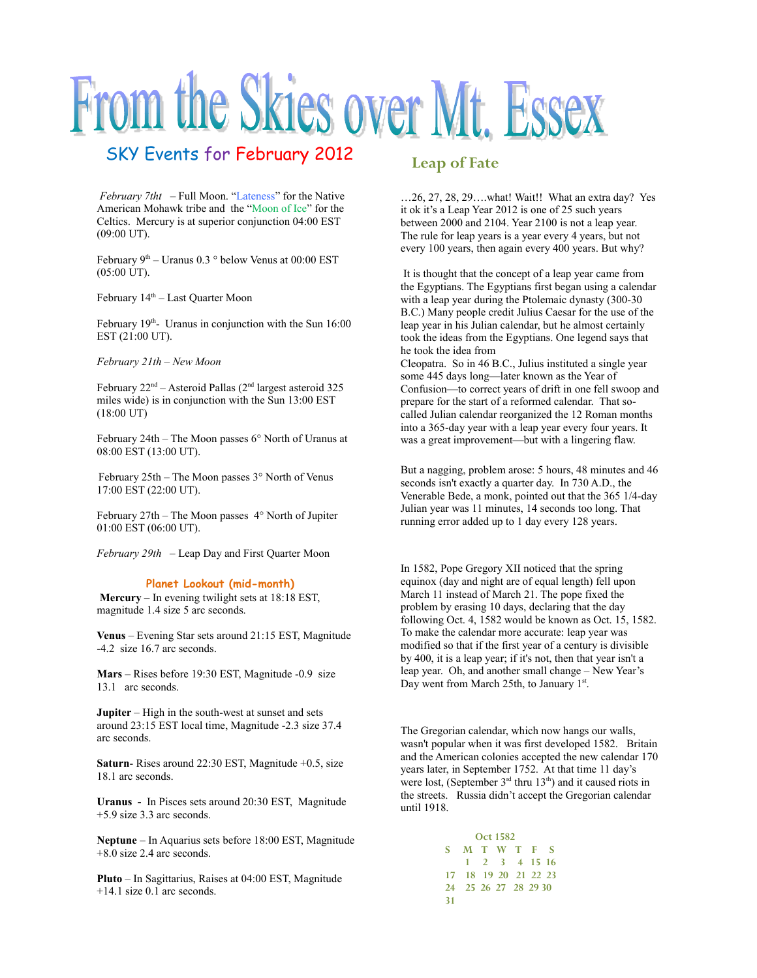# From the Skies over Mt. Essex

## SKY Events for February 2012

 *February 7tht* – Full Moon. "Lateness" for the Native American Mohawk tribe and the "Moon of Ice" for the Celtics. Mercury is at superior conjunction 04:00 EST (09:00 UT).

February  $9<sup>th</sup>$  – Uranus 0.3  $^{\circ}$  below Venus at 00:00 EST (05:00 UT).

February  $14<sup>th</sup>$  – Last Quarter Moon

February  $19<sup>th</sup>$ - Uranus in conjunction with the Sun  $16:00$ EST (21:00 UT).

*February 21th – New Moon*

February  $22<sup>nd</sup>$  – Asteroid Pallas ( $2<sup>nd</sup>$  largest asteroid 325 miles wide) is in conjunction with the Sun 13:00 EST (18:00 UT)

February 24th – The Moon passes 6° North of Uranus at 08:00 EST (13:00 UT).

February 25th – The Moon passes 3° North of Venus 17:00 EST (22:00 UT).

February 27th – The Moon passes 4° North of Jupiter 01:00 EST (06:00 UT).

*February 29th* – Leap Day and First Quarter Moon

#### **Planet Lookout (mid-month)**

**Mercury –** In evening twilight sets at 18:18 EST, magnitude 1.4 size 5 arc seconds.

**Venus** – Evening Star sets around 21:15 EST, Magnitude -4.2 size 16.7 arc seconds.

**Mars** – Rises before 19:30 EST, Magnitude -0.9 size 13.1 arc seconds.

**Jupiter** – High in the south-west at sunset and sets around 23:15 EST local time, Magnitude -2.3 size 37.4 arc seconds.

**Saturn-** Rises around 22:30 EST, Magnitude +0.5, size 18.1 arc seconds.

**Uranus -** In Pisces sets around 20:30 EST, Magnitude +5.9 size 3.3 arc seconds.

**Neptune** – In Aquarius sets before 18:00 EST, Magnitude +8.0 size 2.4 arc seconds.

**Pluto** – In Sagittarius, Raises at 04:00 EST, Magnitude +14.1 size 0.1 arc seconds.

### **Leap of Fate**

…26, 27, 28, 29….what! Wait!! What an extra day? Yes it ok it's a Leap Year 2012 is one of 25 such years between 2000 and 2104. Year 2100 is not a leap year. The rule for leap years is a year every 4 years, but not every 100 years, then again every 400 years. But why?

It is thought that the concept of a leap year came from the Egyptians. The Egyptians first began using a calendar with a leap year during the Ptolemaic dynasty (300-30 B.C.) Many people credit Julius Caesar for the use of the leap year in his Julian calendar, but he almost certainly took the ideas from the Egyptians. One legend says that he took the idea from

Cleopatra. So in 46 B.C., Julius instituted a single year some 445 days long—later known as the Year of Confusion—to correct years of drift in one fell swoop and prepare for the start of a reformed calendar. That socalled Julian calendar reorganized the 12 Roman months into a 365-day year with a leap year every four years. It was a great improvement—but with a lingering flaw.

But a nagging, problem arose: 5 hours, 48 minutes and 46 seconds isn't exactly a quarter day. In 730 A.D., the Venerable Bede, a monk, pointed out that the 365 1/4-day Julian year was 11 minutes, 14 seconds too long. That running error added up to 1 day every 128 years.

In 1582, Pope Gregory XII noticed that the spring equinox (day and night are of equal length) fell upon March 11 instead of March 21. The pope fixed the problem by erasing 10 days, declaring that the day following Oct. 4, 1582 would be known as Oct. 15, 1582. To make the calendar more accurate: leap year was modified so that if the first year of a century is divisible by 400, it is a leap year; if it's not, then that year isn't a leap year. Oh, and another small change – New Year's Day went from March 25th, to January  $1<sup>st</sup>$ .

The Gregorian calendar, which now hangs our walls, wasn't popular when it was first developed 1582. Britain and the American colonies accepted the new calendar 170 years later, in September 1752. At that time 11 day's were lost, (September  $3<sup>rd</sup>$  thru  $13<sup>th</sup>$ ) and it caused riots in the streets. Russia didn't accept the Gregorian calendar until 1918.

> **Oct 1582 S M T W T F S 1 2 3 4 15 16 17 18 19 20 21 22 23 24 25 26 27 28 29 30 31**